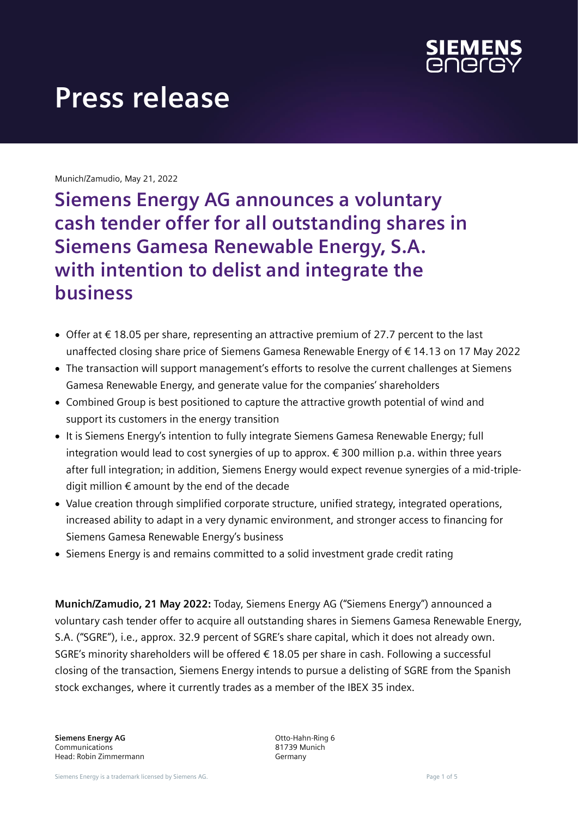

Munich/Zamudio, May 21, 2022

**Siemens Energy AG announces a voluntary cash tender offer for all outstanding shares in Siemens Gamesa Renewable Energy, S.A. with intention to delist and integrate the business**

- Offer at €18.05 per share, representing an attractive premium of 27.7 percent to the last unaffected closing share price of Siemens Gamesa Renewable Energy of € 14.13 on 17 May 2022
- The transaction will support management's efforts to resolve the current challenges at Siemens Gamesa Renewable Energy, and generate value for the companies' shareholders
- Combined Group is best positioned to capture the attractive growth potential of wind and support its customers in the energy transition
- It is Siemens Energy's intention to fully integrate Siemens Gamesa Renewable Energy; full integration would lead to cost synergies of up to approx. € 300 million p.a. within three years after full integration; in addition, Siemens Energy would expect revenue synergies of a mid-tripledigit million  $\epsilon$  amount by the end of the decade
- Value creation through simplified corporate structure, unified strategy, integrated operations, increased ability to adapt in a very dynamic environment, and stronger access to financing for Siemens Gamesa Renewable Energy's business
- Siemens Energy is and remains committed to a solid investment grade credit rating

**Munich/Zamudio, 21 May 2022:** Today, Siemens Energy AG ("Siemens Energy") announced a voluntary cash tender offer to acquire all outstanding shares in Siemens Gamesa Renewable Energy, S.A. ("SGRE"), i.e., approx. 32.9 percent of SGRE's share capital, which it does not already own. SGRE's minority shareholders will be offered € 18.05 per share in cash. Following a successful closing of the transaction, Siemens Energy intends to pursue a delisting of SGRE from the Spanish stock exchanges, where it currently trades as a member of the IBEX 35 index.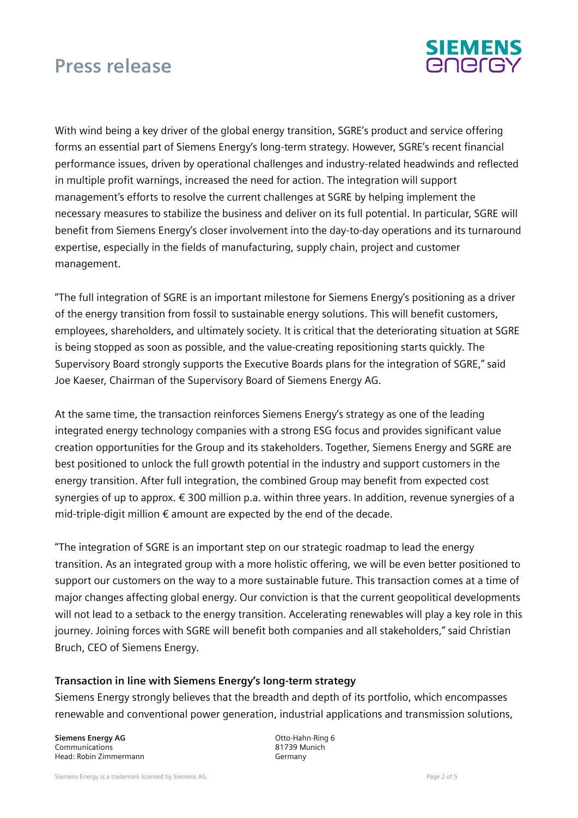

With wind being a key driver of the global energy transition, SGRE's product and service offering forms an essential part of Siemens Energy's long-term strategy. However, SGRE's recent financial performance issues, driven by operational challenges and industry-related headwinds and reflected in multiple profit warnings, increased the need for action. The integration will support management's efforts to resolve the current challenges at SGRE by helping implement the necessary measures to stabilize the business and deliver on its full potential. In particular, SGRE will benefit from Siemens Energy's closer involvement into the day-to-day operations and its turnaround expertise, especially in the fields of manufacturing, supply chain, project and customer management.

"The full integration of SGRE is an important milestone for Siemens Energy's positioning as a driver of the energy transition from fossil to sustainable energy solutions. This will benefit customers, employees, shareholders, and ultimately society. It is critical that the deteriorating situation at SGRE is being stopped as soon as possible, and the value-creating repositioning starts quickly. The Supervisory Board strongly supports the Executive Boards plans for the integration of SGRE," said Joe Kaeser, Chairman of the Supervisory Board of Siemens Energy AG.

At the same time, the transaction reinforces Siemens Energy's strategy as one of the leading integrated energy technology companies with a strong ESG focus and provides significant value creation opportunities for the Group and its stakeholders. Together, Siemens Energy and SGRE are best positioned to unlock the full growth potential in the industry and support customers in the energy transition. After full integration, the combined Group may benefit from expected cost synergies of up to approx. € 300 million p.a. within three years. In addition, revenue synergies of a mid-triple-digit million  $\epsilon$  amount are expected by the end of the decade.

"The integration of SGRE is an important step on our strategic roadmap to lead the energy transition. As an integrated group with a more holistic offering, we will be even better positioned to support our customers on the way to a more sustainable future. This transaction comes at a time of major changes affecting global energy. Our conviction is that the current geopolitical developments will not lead to a setback to the energy transition. Accelerating renewables will play a key role in this journey. Joining forces with SGRE will benefit both companies and all stakeholders," said Christian Bruch, CEO of Siemens Energy.

#### **Transaction in line with Siemens Energy's long-term strategy**

Siemens Energy strongly believes that the breadth and depth of its portfolio, which encompasses renewable and conventional power generation, industrial applications and transmission solutions,

**Siemens Energy AG** Communications Head: Robin Zimmermann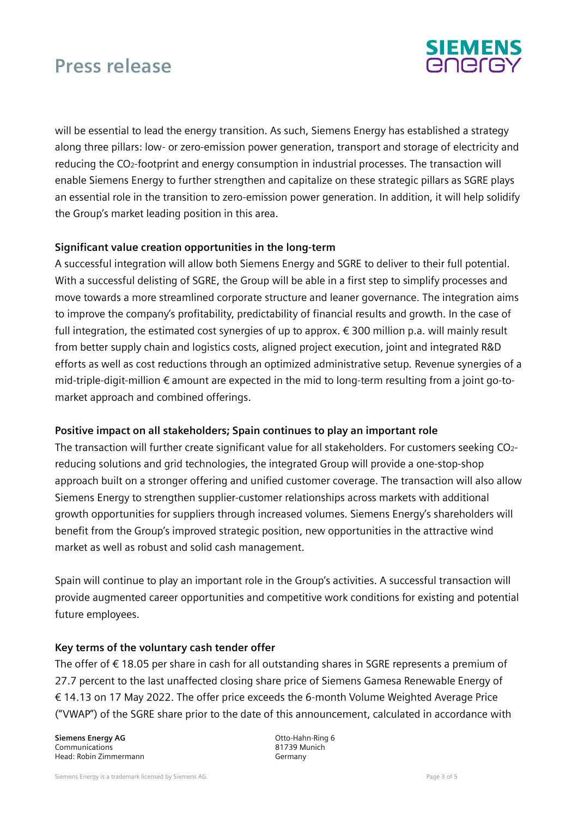

will be essential to lead the energy transition. As such, Siemens Energy has established a strategy along three pillars: low- or zero-emission power generation, transport and storage of electricity and reducing the CO2-footprint and energy consumption in industrial processes. The transaction will enable Siemens Energy to further strengthen and capitalize on these strategic pillars as SGRE plays an essential role in the transition to zero-emission power generation. In addition, it will help solidify the Group's market leading position in this area.

### **Significant value creation opportunities in the long-term**

A successful integration will allow both Siemens Energy and SGRE to deliver to their full potential. With a successful delisting of SGRE, the Group will be able in a first step to simplify processes and move towards a more streamlined corporate structure and leaner governance. The integration aims to improve the company's profitability, predictability of financial results and growth. In the case of full integration, the estimated cost synergies of up to approx. € 300 million p.a. will mainly result from better supply chain and logistics costs, aligned project execution, joint and integrated R&D efforts as well as cost reductions through an optimized administrative setup*.* Revenue synergies of a mid-triple-digit-million € amount are expected in the mid to long-term resulting from a joint go-tomarket approach and combined offerings.

#### **Positive impact on all stakeholders; Spain continues to play an important role**

The transaction will further create significant value for all stakeholders. For customers seeking CO2 reducing solutions and grid technologies, the integrated Group will provide a one-stop-shop approach built on a stronger offering and unified customer coverage. The transaction will also allow Siemens Energy to strengthen supplier-customer relationships across markets with additional growth opportunities for suppliers through increased volumes. Siemens Energy's shareholders will benefit from the Group's improved strategic position, new opportunities in the attractive wind market as well as robust and solid cash management.

Spain will continue to play an important role in the Group's activities. A successful transaction will provide augmented career opportunities and competitive work conditions for existing and potential future employees.

#### **Key terms of the voluntary cash tender offer**

The offer of €18.05 per share in cash for all outstanding shares in SGRE represents a premium of 27.7 percent to the last unaffected closing share price of Siemens Gamesa Renewable Energy of € 14.13 on 17 May 2022. The offer price exceeds the 6-month Volume Weighted Average Price ("VWAP") of the SGRE share prior to the date of this announcement, calculated in accordance with

**Siemens Energy AG** Communications Head: Robin Zimmermann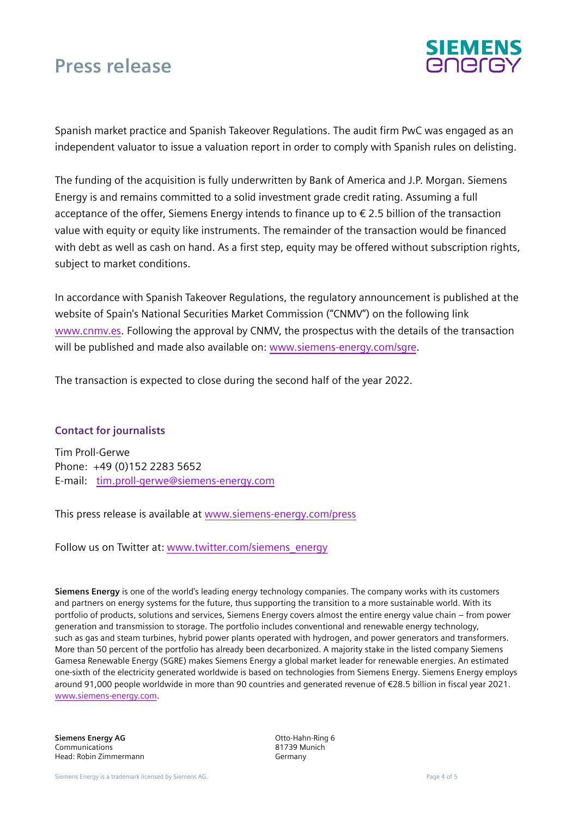

Spanish market practice and Spanish Takeover Regulations. The audit firm PwC was engaged as an independent valuator to issue a valuation report in order to comply with Spanish rules on delisting.

The funding of the acquisition is fully underwritten by Bank of America and J.P. Morgan. Siemens Energy is and remains committed to a solid investment grade credit rating. Assuming a full acceptance of the offer, Siemens Energy intends to finance up to € 2.5 billion of the transaction value with equity or equity like instruments. The remainder of the transaction would be financed with debt as well as cash on hand. As a first step, equity may be offered without subscription rights, subject to market conditions.

In accordance with Spanish Takeover Regulations, the regulatory announcement is published at the website of Spain's National Securities Market Commission ("CNMV") on the following link [www.cnmv.es.](http://www.cnmv.es/) Following the approval by CNMV, the prospectus with the details of the transaction will be published and made also available on: [www.siemens-energy.com/sgre.](http://www.siemens-energy.com/sgre)

The transaction is expected to close during the second half of the year 2022.

#### **Contact for journalists**

Tim Proll-Gerwe Phone: +49 (0)152 2283 5652 E-mail: [tim.proll-gerwe@siemens-energy.com](mailto:tim.proll-gerwe@siemens-energy.com)

This press release is available at [www.siemens-energy.com/press](https://press.siemens-energy.com/global/en/pressrelease/siemens-energy-ag-announces-voluntary-cash-tender-offer-all-outstanding-shares-siemens)

Follow us on Twitter at: [www.twitter.com/siemens\\_energy](http://www.twitter.com/siemens_energy)

**Siemens Energy** is one of the world's leading energy technology companies. The company works with its customers and partners on energy systems for the future, thus supporting the transition to a more sustainable world. With its portfolio of products, solutions and services, Siemens Energy covers almost the entire energy value chain – from power generation and transmission to storage. The portfolio includes conventional and renewable energy technology, such as gas and steam turbines, hybrid power plants operated with hydrogen, and power generators and transformers. More than 50 percent of the portfolio has already been decarbonized. A majority stake in the listed company Siemens Gamesa Renewable Energy (SGRE) makes Siemens Energy a global market leader for renewable energies. An estimated one-sixth of the electricity generated worldwide is based on technologies from Siemens Energy. Siemens Energy employs around 91,000 people worldwide in more than 90 countries and generated revenue of €28.5 billion in fiscal year 2021. [www.siemens-energy.com.](http://www.siemens-energy.com/)

**Siemens Energy AG** Communications Head: Robin Zimmermann